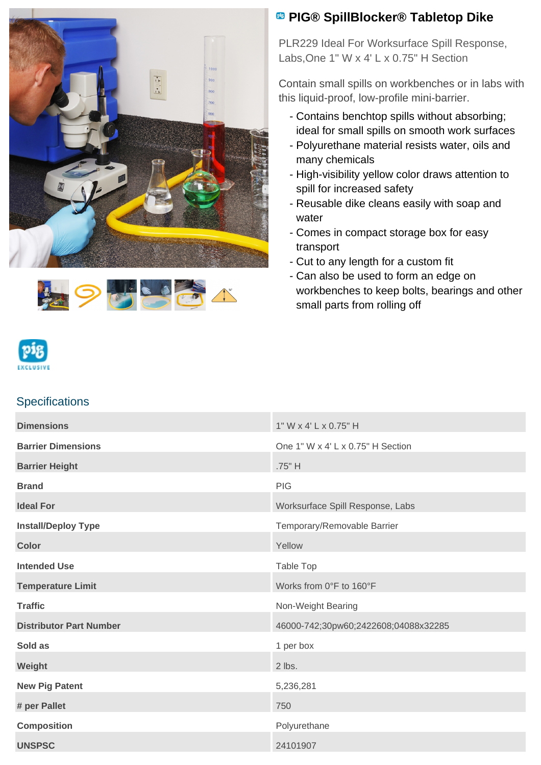



## **PIG® SpillBlocker® Tabletop Dike**

PLR229 Ideal For Worksurface Spill Response, Labs,One 1" W x 4' L x 0.75" H Section

Contain small spills on workbenches or in labs with this liquid-proof, low-profile mini-barrier.

- Contains benchtop spills without absorbing; ideal for small spills on smooth work surfaces
- Polyurethane material resists water, oils and many chemicals
- High-visibility yellow color draws attention to spill for increased safety
- Reusable dike cleans easily with soap and water
- Comes in compact storage box for easy transport
- Cut to any length for a custom fit
- Can also be used to form an edge on workbenches to keep bolts, bearings and other small parts from rolling off



## **Specifications**

| <b>Dimensions</b>              | 1" W x 4' L x 0.75" H                |
|--------------------------------|--------------------------------------|
| <b>Barrier Dimensions</b>      | One 1" W x 4' L x 0.75" H Section    |
| <b>Barrier Height</b>          | .75" H                               |
| <b>Brand</b>                   | <b>PIG</b>                           |
| <b>Ideal For</b>               | Worksurface Spill Response, Labs     |
| <b>Install/Deploy Type</b>     | Temporary/Removable Barrier          |
| <b>Color</b>                   | Yellow                               |
| <b>Intended Use</b>            | Table Top                            |
| <b>Temperature Limit</b>       | Works from 0°F to 160°F              |
| <b>Traffic</b>                 | Non-Weight Bearing                   |
| <b>Distributor Part Number</b> | 46000-742;30pw60;2422608;04088x32285 |
| Sold as                        | 1 per box                            |
| Weight                         | 2 lbs.                               |
| <b>New Pig Patent</b>          | 5,236,281                            |
| # per Pallet                   | 750                                  |
| <b>Composition</b>             | Polyurethane                         |
| <b>UNSPSC</b>                  | 24101907                             |
|                                |                                      |